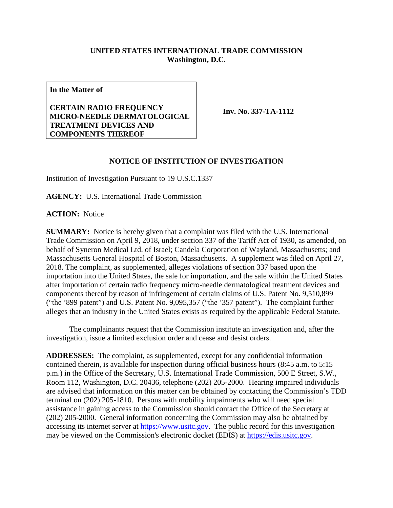## **UNITED STATES INTERNATIONAL TRADE COMMISSION Washington, D.C.**

**In the Matter of**

## **CERTAIN RADIO FREQUENCY MICRO-NEEDLE DERMATOLOGICAL TREATMENT DEVICES AND COMPONENTS THEREOF**

**Inv. No. 337-TA-1112**

## **NOTICE OF INSTITUTION OF INVESTIGATION**

Institution of Investigation Pursuant to 19 U.S.C.1337

**AGENCY:** U.S. International Trade Commission

**ACTION:** Notice

**SUMMARY:** Notice is hereby given that a complaint was filed with the U.S. International Trade Commission on April 9, 2018, under section 337 of the Tariff Act of 1930, as amended, on behalf of Syneron Medical Ltd. of Israel; Candela Corporation of Wayland, Massachusetts; and Massachusetts General Hospital of Boston, Massachusetts. A supplement was filed on April 27, 2018. The complaint, as supplemented, alleges violations of section 337 based upon the importation into the United States, the sale for importation, and the sale within the United States after importation of certain radio frequency micro-needle dermatological treatment devices and components thereof by reason of infringement of certain claims of U.S. Patent No. 9,510,899 ("the '899 patent") and U.S. Patent No. 9,095,357 ("the '357 patent"). The complaint further alleges that an industry in the United States exists as required by the applicable Federal Statute.

The complainants request that the Commission institute an investigation and, after the investigation, issue a limited exclusion order and cease and desist orders.

**ADDRESSES:** The complaint, as supplemented, except for any confidential information contained therein, is available for inspection during official business hours (8:45 a.m. to 5:15 p.m.) in the Office of the Secretary, U.S. International Trade Commission, 500 E Street, S.W., Room 112, Washington, D.C. 20436, telephone (202) 205-2000. Hearing impaired individuals are advised that information on this matter can be obtained by contacting the Commission's TDD terminal on (202) 205-1810. Persons with mobility impairments who will need special assistance in gaining access to the Commission should contact the Office of the Secretary at (202) 205-2000. General information concerning the Commission may also be obtained by accessing its internet server at [https://www.usitc.gov.](https://www.usitc.gov/) The public record for this investigation may be viewed on the Commission's electronic docket (EDIS) at [https://edis.usitc.gov.](https://edis.usitc.gov/)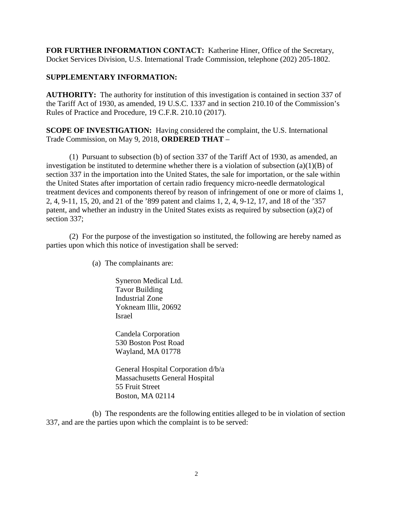**FOR FURTHER INFORMATION CONTACT:** Katherine Hiner, Office of the Secretary, Docket Services Division, U.S. International Trade Commission, telephone (202) 205-1802.

## **SUPPLEMENTARY INFORMATION:**

**AUTHORITY:** The authority for institution of this investigation is contained in section 337 of the Tariff Act of 1930, as amended, 19 U.S.C. 1337 and in section 210.10 of the Commission's Rules of Practice and Procedure, 19 C.F.R. 210.10 (2017).

**SCOPE OF INVESTIGATION:** Having considered the complaint, the U.S. International Trade Commission, on May 9, 2018, **ORDERED THAT** –

(1) Pursuant to subsection (b) of section 337 of the Tariff Act of 1930, as amended, an investigation be instituted to determine whether there is a violation of subsection  $(a)(1)(B)$  of section 337 in the importation into the United States, the sale for importation, or the sale within the United States after importation of certain radio frequency micro-needle dermatological treatment devices and components thereof by reason of infringement of one or more of claims 1, 2, 4, 9-11, 15, 20, and 21 of the '899 patent and claims 1, 2, 4, 9-12, 17, and 18 of the '357 patent, and whether an industry in the United States exists as required by subsection (a)(2) of section 337;

(2) For the purpose of the investigation so instituted, the following are hereby named as parties upon which this notice of investigation shall be served:

(a) The complainants are:

Syneron Medical Ltd. Tavor Building Industrial Zone Yokneam lllit, 20692 Israel

Candela Corporation 530 Boston Post Road Wayland, MA 01778

General Hospital Corporation d/b/a Massachusetts General Hospital 55 Fruit Street Boston, MA 02114

(b) The respondents are the following entities alleged to be in violation of section 337, and are the parties upon which the complaint is to be served: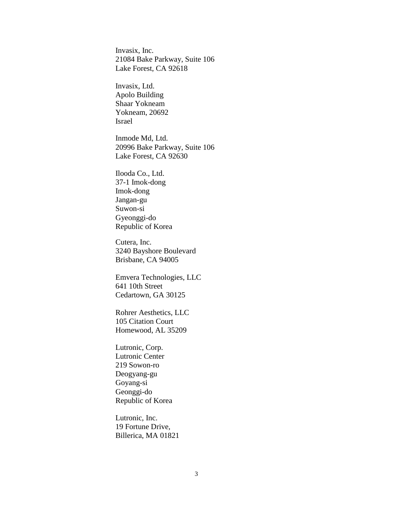Invasix, Inc. 21084 Bake Parkway, Suite 106 Lake Forest, CA 92618

Invasix, Ltd. Apolo Building Shaar Yokneam Yokneam, 20692 Israel

Inmode Md, Ltd. 20996 Bake Parkway, Suite 106 Lake Forest, CA 92630

Ilooda Co., Ltd. 37-1 Imok-dong Imok-dong Jangan-gu Suwon-si Gyeonggi-do Republic of Korea

Cutera, Inc. 3240 Bayshore Boulevard Brisbane, CA 94005

Emvera Technologies, LLC 641 10th Street Cedartown, GA 30125

Rohrer Aesthetics, LLC 105 Citation Court Homewood, AL 35209

Lutronic, Corp. Lutronic Center 219 Sowon-ro Deogyang-gu Goyang-si Geonggi-do Republic of Korea

Lutronic, Inc. 19 Fortune Drive, Billerica, MA 01821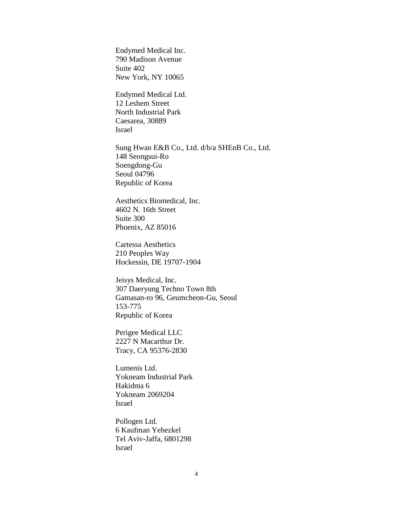Endymed Medical Inc. 790 Madison Avenue Suite 402 New York, NY 10065

Endymed Medical Ltd. 12 Leshem Street North Industrial Park Caesarea, 30889 Israel

Sung Hwan E&B Co., Ltd. d/b/a SHEnB Co., Ltd. 148 Seongsui-Ro Soengdong-Gu Seoul 04796 Republic of Korea

Aesthetics Biomedical, Inc. 4602 N. 16th Street Suite 300 Phoenix, AZ 85016

Cartessa Aesthetics 210 Peoples Way Hockessin, DE 19707-1904

Jeisys Medical, Inc. 307 Daeryung Techno Town 8th Gamasan-ro 96, Geumcheon-Gu, Seoul 153-775 Republic of Korea

Perigee Medical LLC 2227 N Macarthur Dr. Tracy, CA 95376-2830

Lumenis Ltd. Yokneam Industrial Park Hakidma 6 Yokneam 2069204 Israel

Pollogen Ltd. 6 Kaufman Yehezkel Tel Aviv-Jaffa, 6801298 Israel